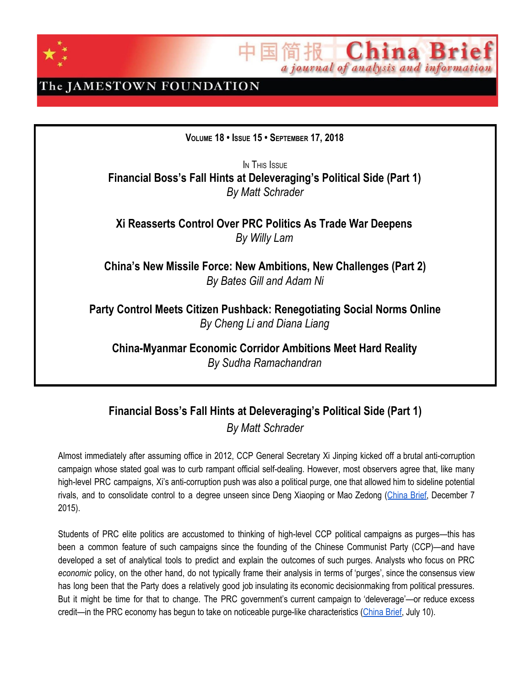

China Br a journal of analysis and information

### The JAMESTOWN FOUNDATION

**VOLUME 18 • ISSUE 15 • SEPTEMBER 17, 2018**

IN THIS ISSUE **Financial Boss's Fall Hints at Deleveraging's Political Side (Part 1)** *By Matt Schrader*

**Xi Reasserts Control Over PRC Politics As Trade War Deepens** *By Willy Lam*

**China's New Missile Force: New Ambitions, New Challenges (Part 2)** *By Bates Gill and Adam Ni*

**Party Control Meets Citizen Pushback: Renegotiating Social Norms Online** *By Cheng Li and Diana Liang*

**China-Myanmar Economic Corridor Ambitions Meet Hard Reality** *By Sudha Ramachandran*

### **Financial Boss's Fall Hints at Deleveraging's Political Side (Part 1)** *By Matt Schrader*

Almost immediately after assuming office in 2012, CCP General Secretary Xi Jinping kicked off a brutal anti-corruption campaign whose stated goal was to curb rampant official self-dealing. However, most observers agree that, like many high-level PRC campaigns, Xi's anti-corruption push was also a political purge, one that allowed him to sideline potential rivals, and to consolidate control to a degree unseen since Deng Xiaoping or Mao Zedong ([China](https://jamestown.org/program/chinas-anti-graft-campaign-in-review/) Brief, December 7 2015).

Students of PRC elite politics are accustomed to thinking of high-level CCP political campaigns as purges—this has been a common feature of such campaigns since the founding of the Chinese Communist Party (CCP)—and have developed a set of analytical tools to predict and explain the outcomes of such purges. Analysts who focus on PRC *economic* policy, on the other hand, do not typically frame their analysis in terms of 'purges', since the consensus view has long been that the Party does a relatively good job insulating its economic decisionmaking from political pressures. But it might be time for that to change. The PRC government's current campaign to 'deleverage'—or reduce excess credit—in the PRC economy has begun to take on noticeable purge-like characteristics [\(China](https://jamestown.org/program/xis-economic-deleveraging-campaign-and-the-limits-of-credit-committees/) Brief, July 10).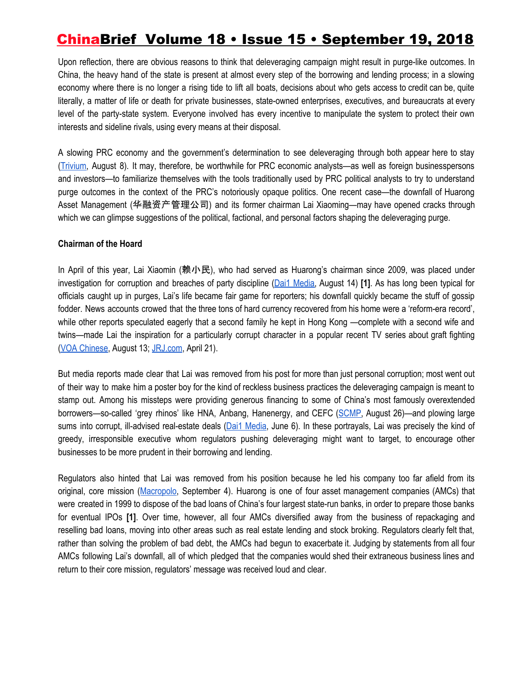Upon reflection, there are obvious reasons to think that deleveraging campaign might result in purge-like outcomes. In China, the heavy hand of the state is present at almost every step of the borrowing and lending process; in a slowing economy where there is no longer a rising tide to lift all boats, decisions about who gets access to credit can be, quite literally, a matter of life or death for private businesses, state-owned enterprises, executives, and bureaucrats at every level of the party-state system. Everyone involved has every incentive to manipulate the system to protect their own interests and sideline rivals, using every means at their disposal.

A slowing PRC economy and the government's determination to see deleveraging through both appear here to stay ([Trivium,](https://mailchi.mp/00387191398a/china-tip-sheet-august-8-tax-system-overhauldeleveraging-plantrade-datapboc-currency-interventiondebt-for-equity-swapstrade-war-more?e=c382dc5f45) August 8). It may, therefore, be worthwhile for PRC economic analysts—as well as foreign businesspersons and investors—to familiarize themselves with the tools traditionally used by PRC political analysts to try to understand purge outcomes in the context of the PRC's notoriously opaque politics. One recent case—the downfall of Huarong Asset Management (华融资产管理公司) and its former chairman Lai Xiaoming—may have opened cracks through which we can glimpse suggestions of the political, factional, and personal factors shaping the deleveraging purge.

#### **Chairman of the Hoard**

In April of this year, Lai Xiaomin (赖小民), who had served as Huarong's chairman since 2009, was placed under investigation for corruption and breaches of party discipline (Dai1 [Media,](https://www.dai1media.com/2018/08/14/huarong-stock-tanks-after-report-of-ex-chairmans-graft-probe-profit-warning/) August 14) **[1]**. As has long been typical for officials caught up in purges, Lai's life became fair game for reporters; his downfall quickly became the stuff of gossip fodder. News accounts crowed that the three tons of hard currency recovered from his home were a 'reform-era record', while other reports speculated eagerly that a second family he kept in Hong Kong —complete with a second wife and twins—made Lai the inspiration for a particularly corrupt character in a popular recent TV series about graft fighting (VOA [Chinese](https://www.voachinese.com/a/4524164.html), August 13; [JRJ.com](http://finance.jrj.com.cn/people/2018/04/21101424426401.shtml), April 21).

But media reports made clear that Lai was removed from his post for more than just personal corruption; most went out of their way to make him a poster boy for the kind of reckless business practices the deleveraging campaign is meant to stamp out. Among his missteps were providing generous financing to some of China's most famously overextended borrowers—so-called 'grey rhinos' like HNA, Anbang, Hanenergy, and CEFC ([SCMP](https://www.scmp.com/business/banking-finance/article/2161292/three-tonnes-mouldy-cash-show-why-china-taking-action), August 26)—and plowing large sums into corrupt, ill-advised real-estate deals (Dai1 [Media,](https://www.dai1media.com/2018/06/06/one-troubled-client-of-huarong-shows-lapse-in-warburg-pincuss-due-diligence-dai1-media-investigation/) June 6). In these portrayals, Lai was precisely the kind of greedy, irresponsible executive whom regulators pushing deleveraging might want to target, to encourage other businesses to be more prudent in their borrowing and lending.

Regulators also hinted that Lai was removed from his position because he led his company too far afield from its original, core mission ([Macropolo,](https://macropolo.org/cleanup_analysis/the-big-four-amcs/) September 4). Huarong is one of four asset management companies (AMCs) that were created in 1999 to dispose of the bad loans of China's four largest state-run banks, in order to prepare those banks for eventual IPOs **[1]**. Over time, however, all four AMCs diversified away from the business of repackaging and reselling bad loans, moving into other areas such as real estate lending and stock broking. Regulators clearly felt that, rather than solving the problem of bad debt, the AMCs had begun to exacerbate it. Judging by statements from all four AMCs following Lai's downfall, all of which pledged that the companies would shed their extraneous business lines and return to their core mission, regulators' message was received loud and clear.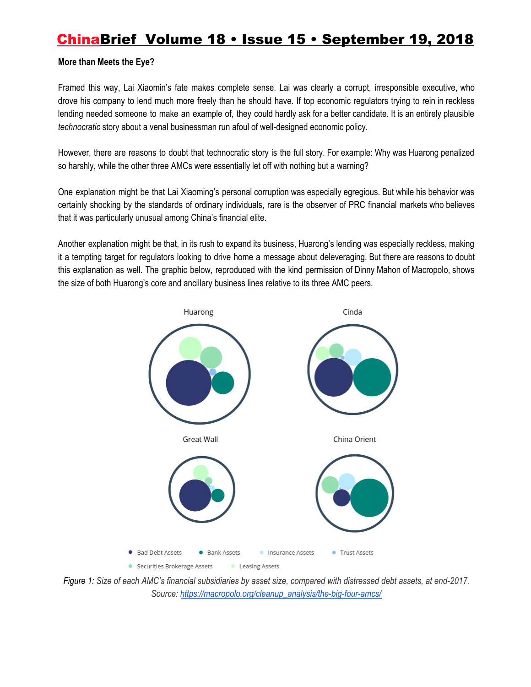#### **More than Meets the Eye?**

Framed this way, Lai Xiaomin's fate makes complete sense. Lai was clearly a corrupt, irresponsible executive, who drove his company to lend much more freely than he should have. If top economic regulators trying to rein in reckless lending needed someone to make an example of, they could hardly ask for a better candidate. It is an entirely plausible *technocratic* story about a venal businessman run afoul of well-designed economic policy.

However, there are reasons to doubt that technocratic story is the full story. For example: Why was Huarong penalized so harshly, while the other three AMCs were essentially let off with nothing but a warning?

One explanation might be that Lai Xiaoming's personal corruption was especially egregious. But while his behavior was certainly shocking by the standards of ordinary individuals, rare is the observer of PRC financial markets who believes that it was particularly unusual among China's financial elite.

Another explanation might be that, in its rush to expand its business, Huarong's lending was especially reckless, making it a tempting target for regulators looking to drive home a message about deleveraging. But there are reasons to doubt this explanation as well. The graphic below, reproduced with the kind permission of Dinny Mahon of Macropolo, shows the size of both Huarong's core and ancillary business lines relative to its three AMC peers.



Figure 1: Size of each AMC's financial subsidiaries by asset size, compared with distressed debt assets, at end-2017. *Source: [https://macropolo.org/cleanup\\_analysis/the-big-four-amcs/](https://macropolo.org/cleanup_analysis/the-big-four-amcs/)*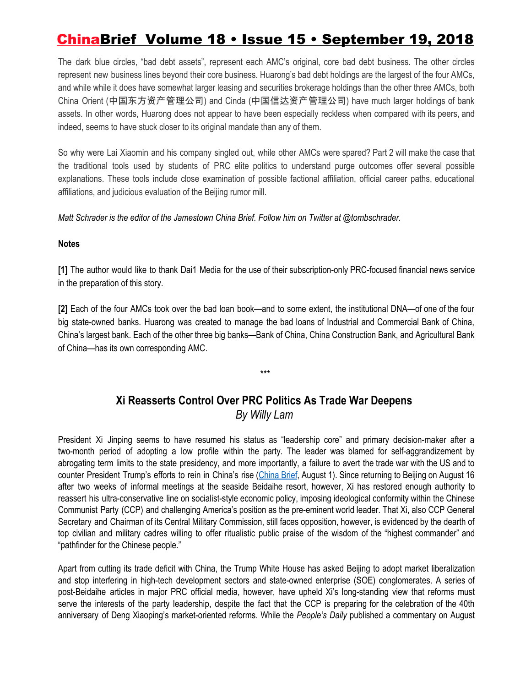The dark blue circles, "bad debt assets", represent each AMC's original, core bad debt business. The other circles represent new business lines beyond their core business. Huarong's bad debt holdings are the largest of the four AMCs, and while while it does have somewhat larger leasing and securities brokerage holdings than the other three AMCs, both China Orient (中国东方资产管理公司) and Cinda (中国信达资产管理公司) have much larger holdings of bank assets. In other words, Huarong does not appear to have been especially reckless when compared with its peers, and indeed, seems to have stuck closer to its original mandate than any of them.

So why were Lai Xiaomin and his company singled out, while other AMCs were spared? Part 2 will make the case that the traditional tools used by students of PRC elite politics to understand purge outcomes offer several possible explanations. These tools include close examination of possible factional affiliation, official career paths, educational affiliations, and judicious evaluation of the Beijing rumor mill.

*Matt Schrader is the editor of the Jamestown China Brief. Follow him on Twitter at @tombschrader.*

#### **Notes**

**[1]** The author would like to thank Dai1 Media for the use of their subscription-only PRC-focused financial news service in the preparation of this story.

**[2]** Each of the four AMCs took over the bad loan book—and to some extent, the institutional DNA—of one of the four big state-owned banks. Huarong was created to manage the bad loans of Industrial and Commercial Bank of China, China's largest bank. Each of the other three big banks—Bank of China, China Construction Bank, and Agricultural Bank of China—has its own corresponding AMC.

### **Xi Reasserts Control Over PRC Politics As Trade War Deepens** *By Willy Lam*

*\*\*\**

President Xi Jinping seems to have resumed his status as "leadership core" and primary decision-maker after a two-month period of adopting a low profile within the party. The leader was blamed for self-aggrandizement by abrogating term limits to the state presidency, and more importantly, a failure to avert the trade war with the US and to counter President Trump's efforts to rein in China's rise [\(China](https://jamestown.org/program/xis-grip-on-authority-loosens-amid-trade-war-policy-paralysis/) Brief, August 1). Since returning to Beijing on August 16 after two weeks of informal meetings at the seaside Beidaihe resort, however, Xi has restored enough authority to reassert his ultra-conservative line on socialist-style economic policy, imposing ideological conformity within the Chinese Communist Party (CCP) and challenging America's position as the pre-eminent world leader. That Xi, also CCP General Secretary and Chairman of its Central Military Commission, still faces opposition, however, is evidenced by the dearth of top civilian and military cadres willing to offer ritualistic public praise of the wisdom of the "highest commander" and "pathfinder for the Chinese people."

Apart from cutting its trade deficit with China, the Trump White House has asked Beijing to adopt market liberalization and stop interfering in high-tech development sectors and state-owned enterprise (SOE) conglomerates. A series of post-Beidaihe articles in major PRC official media, however, have upheld Xi's long-standing view that reforms must serve the interests of the party leadership, despite the fact that the CCP is preparing for the celebration of the 40th anniversary of Deng Xiaoping's market-oriented reforms. While the *People's Daily* published a commentary on August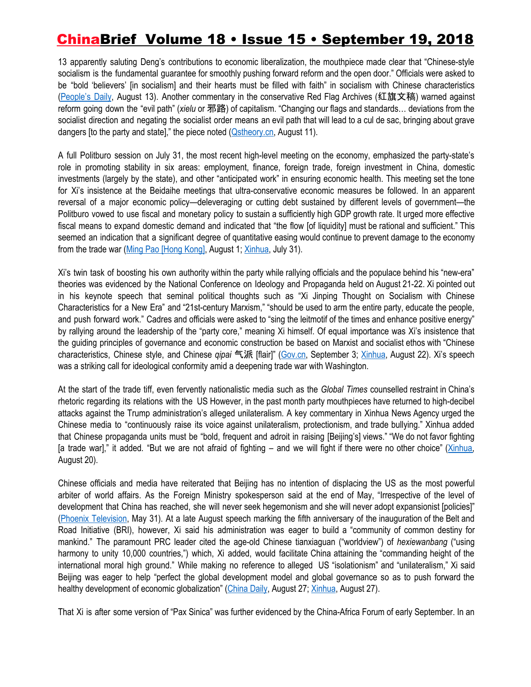13 apparently saluting Deng's contributions to economic liberalization, the mouthpiece made clear that "Chinese-style socialism is the fundamental guarantee for smoothly pushing forward reform and the open door." Officials were asked to be "bold 'believers' [in socialism] and their hearts must be filled with faith" in socialism with Chinese characteristics ([People's](http://www.jxxz.gov.cn/zwdt/xzxw/1609611.html) Daily, August 13). Another commentary in the conservative Red Flag Archives (红旗文稿) warned against reform going down the "evil path" (*xielu* or 邪路) of capitalism. "Changing our flags and standards… deviations from the socialist direction and negating the socialist order means an evil path that will lead to a cul de sac, bringing about grave dangers [to the party and state]," the piece noted ([Qstheory.cn,](http://www.qstheory.cn/dukan/hqwg/2018-08/11/c_1123251082.htm) August 11).

A full Politburo session on July 31, the most recent high-level meeting on the economy, emphasized the party-state's role in promoting stability in six areas: employment, finance, foreign trade, foreign investment in China, domestic investments (largely by the state), and other "anticipated work" in ensuring economic health. This meeting set the tone for Xi's insistence at the Beidaihe meetings that ultra-conservative economic measures be followed. In an apparent reversal of a major economic policy—deleveraging or cutting debt sustained by different levels of government—the Politburo vowed to use fiscal and monetary policy to sustain a sufficiently high GDP growth rate. It urged more effective fiscal means to expand domestic demand and indicated that "the flow [of liquidity] must be rational and sufficient." This seemed an indication that a significant degree of quantitative easing would continue to prevent damage to the economy from the trade war (Ming Pao [\[Hong](https://news.mingpao.com/pns/dailynews/web_tc/article/20180801/s00013/1533061008810) Kong], August 1; [Xinhua](http://www.xinhuanet.com/politics/2018-07/31/c_1123203915.htm), July 31).

Xi's twin task of boosting his own authority within the party while rallying officials and the populace behind his "new-era" theories was evidenced by the National Conference on Ideology and Propaganda held on August 21-22. Xi pointed out in his keynote speech that seminal political thoughts such as "Xi Jinping Thought on Socialism with Chinese Characteristics for a New Era" and "21st-century Marxism," "should be used to arm the entire party, educate the people, and push forward work." Cadres and officials were asked to "sing the leitmotif of the times and enhance positive energy" by rallying around the leadership of the "party core," meaning Xi himself. Of equal importance was Xi's insistence that the guiding principles of governance and economic construction be based on Marxist and socialist ethos with "Chinese characteristics, Chinese style, and Chinese *qipai* 气派 [flair]" [\(Gov.cn](http://www.gov.cn/xinwen/2018-09/03/content_5318973.htm), September 3; [Xinhua,](http://www.xinhuanet.com/2018-08/22/c_1123310729.htm) August 22). Xi's speech was a striking call for ideological conformity amid a deepening trade war with Washington.

At the start of the trade tiff, even fervently nationalistic media such as the *Global Times* counselled restraint in China's rhetoric regarding its relations with the US However, in the past month party mouthpieces have returned to high-decibel attacks against the Trump administration's alleged unilateralism. A key commentary in Xinhua News Agency urged the Chinese media to "continuously raise its voice against unilateralism, protectionism, and trade bullying." Xinhua added that Chinese propaganda units must be "bold, frequent and adroit in raising [Beijing's] views." "We do not favor fighting [a trade war]," it added. "But we are not afraid of fighting – and we will fight if there were no other choice" ([Xinhua](http://big5.xinhuanet.com/gate/big5/www.xinhuanet.com/politics/2018-08/20/c_1123298689.htm), August 20).

Chinese officials and media have reiterated that Beijing has no intention of displacing the US as the most powerful arbiter of world affairs. As the Foreign Ministry spokesperson said at the end of May, "Irrespective of the level of development that China has reached, she will never seek hegemonism and she will never adopt expansionist [policies]" (Phoenix [Television](http://news.ifeng.com/a/20180531/58528235_0.shtml), May 31). At a late August speech marking the fifth anniversary of the inauguration of the Belt and Road Initiative (BRI), however, Xi said his administration was eager to build a "community of common destiny for mankind." The paramount PRC leader cited the age-old Chinese tianxiaguan ("worldview") of *hexiewanbang* ("using harmony to unity 10,000 countries,") which, Xi added, would facilitate China attaining the "commanding height of the international moral high ground." While making no reference to alleged US "isolationism" and "unilateralism," Xi said Beijing was eager to help "perfect the global development model and global governance so as to push forward the healthy development of economic globalization" [\(China](http://china.chinadaily.com.cn/2018-09/07/content_36881049.htm) Daily, August 27; [Xinhua](http://www.xinhuanet.com/politics/leaders/2018-08/27/c_1123336562.htm), August 27).

That Xi is after some version of "Pax Sinica" was further evidenced by the China-Africa Forum of early September. In an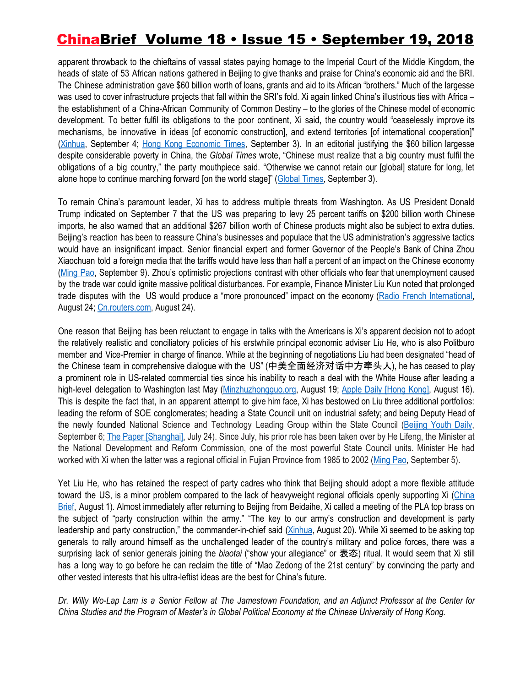apparent throwback to the chieftains of vassal states paying homage to the Imperial Court of the Middle Kingdom, the heads of state of 53 African nations gathered in Beijing to give thanks and praise for China's economic aid and the BRI. The Chinese administration gave \$60 billion worth of loans, grants and aid to its African "brothers." Much of the largesse was used to cover infrastructure projects that fall within the SRI's fold. Xi again linked China's illustrious ties with Africa – the establishment of a China-African Community of Common Destiny – to the glories of the Chinese model of economic development. To better fulfil its obligations to the poor continent, Xi said, the country would "ceaselessly improve its mechanisms, be innovative in ideas [of economic construction], and extend territories [of international cooperation]" ([Xinhua](http://www.xinhuanet.com/english/2015-12/04/c_134886013.htm), September 4; Hong Kong [Economic](https://china.hket.com/article/2152758/%E7%BF%92%E4%B8%AD%E9%9D%9E%E5%90%88%E4%BD%9C%E8%AB%96%E5%A3%87%E9%96%8B%E5%B9%95%E6%BC%94%E8%AC%9B%EF%BC%9A%E5%86%8D%E5%90%91%E9%9D%9E%E6%B4%B2%E6%8F%90%E4%BE%9B600%E5%84%84%E7%BE%8E%E5%85%83%E6%94%AF%E6%8C%81) Times, September 3). In an editorial justifying the \$60 billion largesse despite considerable poverty in China, the *Global Times* wrote, "Chinese must realize that a big country must fulfil the obligations of a big country," the party mouthpiece said. "Otherwise we cannot retain our [global] stature for long, let alone hope to continue marching forward [on the world stage]" [\(Global](http://opinion.huanqiu.com/editorial/2018-09/12914327.html) Times, September 3).

To remain China's paramount leader, Xi has to address multiple threats from Washington. As US President Donald Trump indicated on September 7 that the US was preparing to levy 25 percent tariffs on \$200 billion worth Chinese imports, he also warned that an additional \$267 billion worth of Chinese products might also be subject to extra duties. Beijing's reaction has been to reassure China's businesses and populace that the US administration's aggressive tactics would have an insignificant impact. Senior financial expert and former Governor of the People's Bank of China Zhou Xiaochuan told a foreign media that the tariffs would have less than half a percent of an impact on the Chinese economy ([Ming](https://m.mingpao.com/pns/dailynews/web_tc/article/20180909/s00013/1536430098439) Pao, September 9). Zhou's optimistic projections contrast with other officials who fear that unemployment caused by the trade war could ignite massive political disturbances. For example, Finance Minister Liu Kun noted that prolonged trade disputes with the US would produce a "more pronounced" impact on the economy (Radio French [International](http://cn.rfi.fr/%E4%B8%AD%E5%9B%BD/20180824-%E4%B8%AD%E5%9B%BD%E8%B4%A2%E9%95%BF%E5%88%98%E6%98%86%E5%BF%A7%E8%B4%B8%E6%98%93%E6%88%98%E5%B8%A6%E6%9D%A5%E5%A4%B1%E4%B8%9A%20%E6%89%BF%E8%AF%BA%E8%A1%A5%E8%B4%B4), August 24; [Cn.routers.com](https://cn.reuters.com/article/morning-post-0825-idCNKCS1LA01I), August 24).

One reason that Beijing has been reluctant to engage in talks with the Americans is Xi's apparent decision not to adopt the relatively realistic and conciliatory policies of his erstwhile principal economic adviser Liu He, who is also Politburo member and Vice-Premier in charge of finance. While at the beginning of negotiations Liu had been designated "head of the Chinese team in comprehensive dialogue with the US" (中美全面经济对话中方牵头人), he has ceased to play a prominent role in US-related commercial ties since his inability to reach a deal with the White House after leading a high-level delegation to Washington last May [\(Minzhuzhongguo.org](http://minzhuzhongguo.org/MainArtShow.aspx?AID=103039), August 19; Apple Daily [\[Hong](https://hk.news.appledaily.com/local/daily/article/20180816/20477391) Kong], August 16). This is despite the fact that, in an apparent attempt to give him face, Xi has bestowed on Liu three additional portfolios: leading the reform of SOE conglomerates; heading a State Council unit on industrial safety; and being Deputy Head of the newly founded National Science and Technology Leading Group within the State Council ([Beijing](http://news.sina.com.cn/c/nd/2018-09-07/doc-ihiixzkm5619679.shtml) Youth Daily, September 6; The Paper [\[Shanghai\],](https://www.thepaper.cn/newsDetail_forward_2295154) July 24). Since July, his prior role has been taken over by He Lifeng, the Minister at the National Development and Reform Commission, one of the most powerful State Council units. Minister He had worked with Xi when the latter was a regional official in Fujian Province from 1985 to 2002 [\(Ming](http://premium.mingpao.com/cfm/Content_News.cfm?Channel=ca&Path=134808445404/caq1_er.cfm) Pao, September 5).

Yet Liu He, who has retained the respect of party cadres who think that Beijing should adopt a more flexible attitude toward the US, is a minor problem compared to the lack of heavyweight regional officials openly supporting Xi ([China](https://jamestown.org/program/xis-grip-on-authority-loosens-amid-trade-war-policy-paralysis/) [Brief,](https://jamestown.org/program/xis-grip-on-authority-loosens-amid-trade-war-policy-paralysis/) August 1). Almost immediately after returning to Beijing from Beidaihe, Xi called a meeting of the PLA top brass on the subject of "party construction within the army." "The key to our army's construction and development is party leadership and party construction," the commander-in-chief said [\(Xinhua](http://www.xinhuanet.com/mil/2018-08/20/c_129935640.htm), August 20). While Xi seemed to be asking top generals to rally around himself as the unchallenged leader of the country's military and police forces, there was a surprising lack of senior generals joining the *biaotai* ("show your allegiance" or 表态) ritual. It would seem that Xi still has a long way to go before he can reclaim the title of "Mao Zedong of the 21st century" by convincing the party and other vested interests that his ultra-leftist ideas are the best for China's future.

Dr. Willy Wo-Lap Lam is a Senior Fellow at The Jamestown Foundation, and an Adjunct Professor at the Center for China Studies and the Program of Master's in Global Political Economy at the Chinese University of Hong Kong.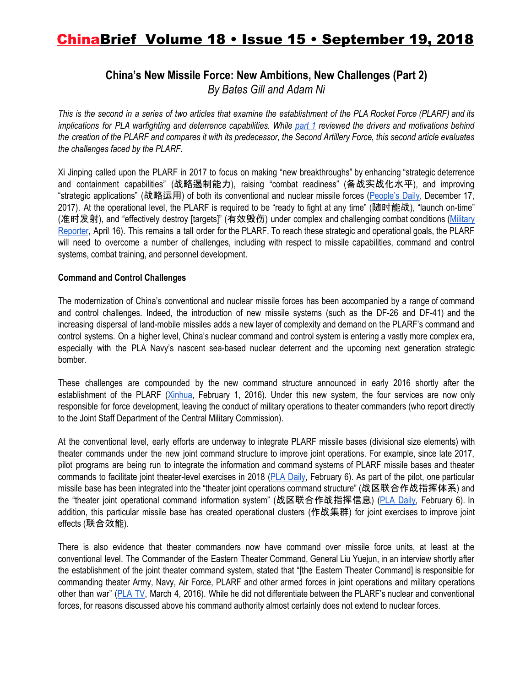### **China's New Missile Force: New Ambitions, New Challenges (Part 2)** *By Bates Gill and Adam Ni*

This is the second in a series of two articles that examine the establishment of the PLA Rocket Force (PLARF) and its implications for PLA warfighting and deterrence capabilities. While [part](https://jamestown.org/program/chinas-new-missile-force-new-ambitions-new-challenges-part-1/) 1 reviewed the drivers and motivations behind the creation of the PLARF and compares it with its predecessor, the Second Artillery Force, this second article evaluates *the challenges faced by the PLARF.*

Xi Jinping called upon the PLARF in 2017 to focus on making "new breakthroughs" by enhancing "strategic deterrence and containment capabilities" (战略遏制能力), raising "combat readiness" (备战实战化水平), and improving "strategic applications" (战略运用) of both its conventional and nuclear missile forces [\(People's](http://military.cctv.com/2017/12/17/ARTI5aGsliegUI8kSbBz5crH171217.shtml) Daily, December 17, 2017). At the operational level, the PLARF is required to be "ready to fight at any time" (随时能战), "launch on-time" (准时发射), and "effectively destroy [targets]" (有效毁伤) under complex and challenging combat conditions [\(Military](http://www.mod.gov.cn/power/2018-04/16/content_4809756.htm) [Reporter](http://www.mod.gov.cn/power/2018-04/16/content_4809756.htm), April 16). This remains a tall order for the PLARF. To reach these strategic and operational goals, the PLARF will need to overcome a number of challenges, including with respect to missile capabilities, command and control systems, combat training, and personnel development.

#### **Command and Control Challenges**

The modernization of China's conventional and nuclear missile forces has been accompanied by a range of command and control challenges. Indeed, the introduction of new missile systems (such as the DF-26 and DF-41) and the increasing dispersal of land-mobile missiles adds a new layer of complexity and demand on the PLARF's command and control systems. On a higher level, China's nuclear command and control system is entering a vastly more complex era, especially with the PLA Navy's nascent sea-based nuclear deterrent and the upcoming next generation strategic bomber.

These challenges are compounded by the new command structure announced in early 2016 shortly after the establishment of the PLARF ([Xinhua,](http://www.xinhuanet.com/english/2016-02/01/c_135065429.htm) February 1, 2016). Under this new system, the four services are now only responsible for force development, leaving the conduct of military operations to theater commanders (who report directly to the Joint Staff Department of the Central Military Commission).

At the conventional level, early efforts are underway to integrate PLARF missile bases (divisional size elements) with theater commands under the new joint command structure to improve joint operations. For example, since late 2017, pilot programs are being run to integrate the information and command systems of PLARF missile bases and theater commands to facilitate joint theater-level exercises in 2018 (PLA [Daily](http://www.mod.gov.cn/power/2018-02/06/content_4804300.htm), February 6). As part of the pilot, one particular missile base has been integrated into the "theater joint operations command structure" (战区联合作战指挥体系) and the "theater joint operational command information system" (战区联合作战指挥信息) (PLA [Daily](http://www.mod.gov.cn/power/2018-02/06/content_4804300.htm), February 6). In addition, this particular missile base has created operational clusters (作战集群) for joint exercises to improve joint effects (联合效能).

There is also evidence that theater commanders now have command over missile force units, at least at the conventional level. The Commander of the Eastern Theater Command, General Liu Yuejun, in an interview shortly after the establishment of the joint theater command system, stated that "[the Eastern Theater Command] is responsible for commanding theater Army, Navy, Air Force, PLARF and other armed forces in joint operations and military operations other than war" [\(PLA](http://jz.chinamil.com.cn/zhuanti/content/2016-03/04/content_6940918.htm) TV, March 4, 2016). While he did not differentiate between the PLARF's nuclear and conventional forces, for reasons discussed above his command authority almost certainly does not extend to nuclear forces.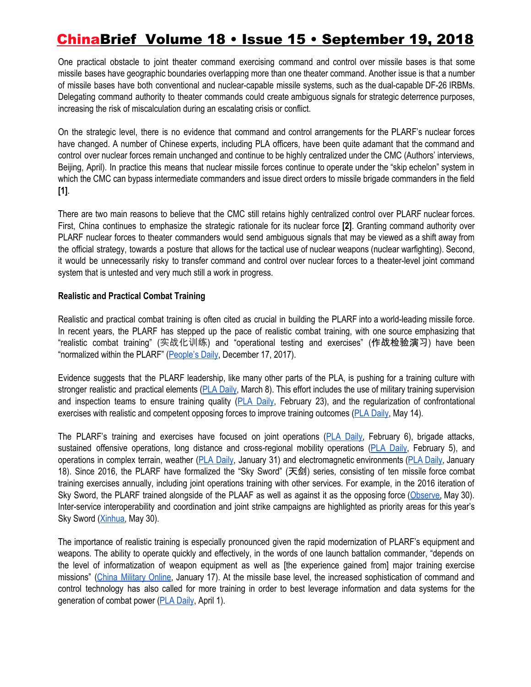One practical obstacle to joint theater command exercising command and control over missile bases is that some missile bases have geographic boundaries overlapping more than one theater command. Another issue is that a number of missile bases have both conventional and nuclear-capable missile systems, such as the dual-capable DF-26 IRBMs. Delegating command authority to theater commands could create ambiguous signals for strategic deterrence purposes, increasing the risk of miscalculation during an escalating crisis or conflict.

On the strategic level, there is no evidence that command and control arrangements for the PLARF's nuclear forces have changed. A number of Chinese experts, including PLA officers, have been quite adamant that the command and control over nuclear forces remain unchanged and continue to be highly centralized under the CMC (Authors' interviews, Beijing, April). In practice this means that nuclear missile forces continue to operate under the "skip echelon" system in which the CMC can bypass intermediate commanders and issue direct orders to missile brigade commanders in the field **[1]**.

There are two main reasons to believe that the CMC still retains highly centralized control over PLARF nuclear forces. First, China continues to emphasize the strategic rationale for its nuclear force **[2]**. Granting command authority over PLARF nuclear forces to theater commanders would send ambiguous signals that may be viewed as a shift away from the official strategy, towards a posture that allows for the tactical use of nuclear weapons (nuclear warfighting). Second, it would be unnecessarily risky to transfer command and control over nuclear forces to a theater-level joint command system that is untested and very much still a work in progress.

#### **Realistic and Practical Combat Training**

Realistic and practical combat training is often cited as crucial in building the PLARF into a world-leading missile force. In recent years, the PLARF has stepped up the pace of realistic combat training, with one source emphasizing that "realistic combat training" (实战化训练) and "operational testing and exercises" (作战检验演习) have been "normalized within the PLARF" ([People's](http://military.cctv.com/2017/12/17/ARTI5aGsliegUI8kSbBz5crH171217.shtml) Daily, December 17, 2017).

Evidence suggests that the PLARF leadership, like many other parts of the PLA, is pushing for a training culture with stronger realistic and practical elements (PLA [Daily](http://www.mod.gov.cn/power/2018-03/08/content_4806251.htm), March 8). This effort includes the use of military training supervision and inspection teams to ensure training quality (PLA [Daily,](http://www.mod.gov.cn/power/2018-02/23/content_4805236.htm) February 23), and the regularization of confrontational exercises with realistic and competent opposing forces to improve training outcomes (PLA [Daily](http://www.mod.gov.cn/power/2018-05/14/content_4813484.htm), May 14).

The PLARF's training and exercises have focused on joint operations (PLA [Daily](http://www.mod.gov.cn/power/2018-02/06/content_4804300.htm), February 6), brigade attacks, sustained offensive operations, long distance and cross-regional mobility operations (PLA [Daily,](http://www.mod.gov.cn/power/2018-02/05/content_4804156.htm) February 5), and operations in complex terrain, weather (PLA [Daily](http://www.mod.gov.cn/power/2018-01/31/content_4803829.htm), January 31) and electromagnetic environments (PLA [Daily](http://www.mod.gov.cn/power/2018-01/18/content_4802698.htm), January 18). Since 2016, the PLARF have formalized the "Sky Sword" (天剑) series, consisting of ten missile force combat training exercises annually, including joint operations training with other services. For example, in the 2016 iteration of Sky Sword, the PLARF trained alongside of the PLAAF as well as against it as the opposing force [\(Observe](http://www.guancha.cn/military-affairs/2018_05_30_458380_s.shtml), May 30). Inter-service interoperability and coordination and joint strike campaigns are highlighted as priority areas for this year's Sky Sword ([Xinhua,](http://www.xinhuanet.com/2018-05/30/c_129882940.htm) May 30).

The importance of realistic training is especially pronounced given the rapid modernization of PLARF's equipment and weapons. The ability to operate quickly and effectively, in the words of one launch battalion commander, "depends on the level of informatization of weapon equipment as well as [the experience gained from] major training exercise missions" (China [Military](http://www.81.cn/jwgz/2018-01/17/content_7911213.htm) Online, January 17). At the missile base level, the increased sophistication of command and control technology has also called for more training in order to best leverage information and data systems for the generation of combat power (PLA [Daily,](http://www.mod.gov.cn/power/2018-04/01/content_4808435.htm) April 1).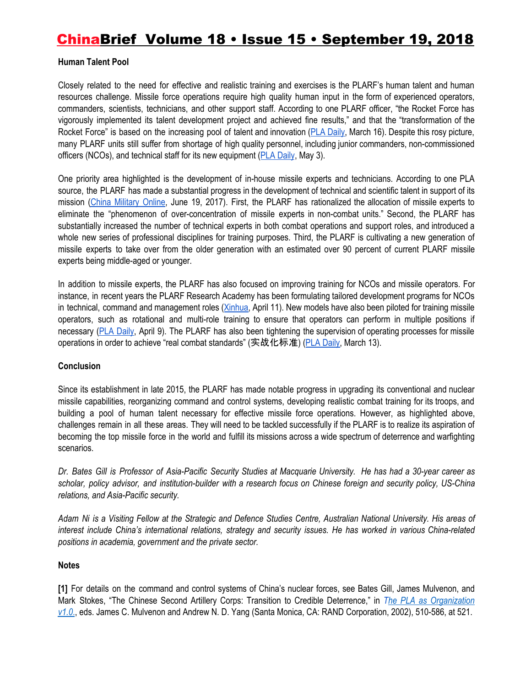#### **Human Talent Pool**

Closely related to the need for effective and realistic training and exercises is the PLARF's human talent and human resources challenge. Missile force operations require high quality human input in the form of experienced operators, commanders, scientists, technicians, and other support staff. According to one PLARF officer, "the Rocket Force has vigorously implemented its talent development project and achieved fine results," and that the "transformation of the Rocket Force" is based on the increasing pool of talent and innovation (PLA [Daily,](http://www.mod.gov.cn/power/2018-03/16/content_4806933.htm) March 16). Despite this rosy picture, many PLARF units still suffer from shortage of high quality personnel, including junior commanders, non-commissioned officers (NCOs), and technical staff for its new equipment (PLA [Daily](http://www.mod.gov.cn/power/2018-05/03/content_4812296.htm), May 3).

One priority area highlighted is the development of in-house missile experts and technicians. According to one PLA source, the PLARF has made a substantial progress in the development of technical and scientific talent in support of its mission (China [Military](http://www.81.cn/jwgz/2017-06/19/content_7643858.htm) Online, June 19, 2017). First, the PLARF has rationalized the allocation of missile experts to eliminate the "phenomenon of over-concentration of missile experts in non-combat units." Second, the PLARF has substantially increased the number of technical experts in both combat operations and support roles, and introduced a whole new series of professional disciplines for training purposes. Third, the PLARF is cultivating a new generation of missile experts to take over from the older generation with an estimated over 90 percent of current PLARF missile experts being middle-aged or younger.

In addition to missile experts, the PLARF has also focused on improving training for NCOs and missile operators. For instance, in recent years the PLARF Research Academy has been formulating tailored development programs for NCOs in technical, command and management roles [\(Xinhua](http://www.xinhuanet.com/politics/2018-04/11/c_1122668134.htm), April 11). New models have also been piloted for training missile operators, such as rotational and multi-role training to ensure that operators can perform in multiple positions if necessary (PLA [Daily](http://www.mod.gov.cn/power/2018-04/09/content_4808963.htm), April 9). The PLARF has also been tightening the supervision of operating processes for missile operations in order to achieve "real combat standards" (实战化标准) (PLA [Daily](http://www.mod.gov.cn/power/2018-03/13/content_4806695.htm), March 13).

#### **Conclusion**

Since its establishment in late 2015, the PLARF has made notable progress in upgrading its conventional and nuclear missile capabilities, reorganizing command and control systems, developing realistic combat training for its troops, and building a pool of human talent necessary for effective missile force operations. However, as highlighted above, challenges remain in all these areas. They will need to be tackled successfully if the PLARF is to realize its aspiration of becoming the top missile force in the world and fulfill its missions across a wide spectrum of deterrence and warfighting scenarios.

Dr. Bates Gill is Professor of Asia-Pacific Security Studies at Macquarie University. He has had a 30-year career as scholar, policy advisor, and institution-builder with a research focus on Chinese foreign and security policy, US-China *relations, and Asia-Pacific security.*

Adam Ni is a Visiting Fellow at the Strategic and Defence Studies Centre, Australian National University. His areas of *interest include China's international relations, strategy and security issues. He has worked in various China-related positions in academia, government and the private sector.*

#### **Notes**

**[1]** For details on the command and control systems of China's nuclear forces, see Bates Gill, James Mulvenon, and Mark Stokes, "The Chinese Second Artillery Corps: Transition to Credible Deterrence," in *[Th](https://www.rand.org/pubs/conf_proceedings/CF182.html)e PLA as [Organization](https://www.rand.org/pubs/conf_proceedings/CF182.html) [v1.0](https://www.rand.org/pubs/conf_proceedings/CF182.html)*., eds. James C. Mulvenon and Andrew N. D. Yang (Santa Monica, CA: RAND Corporation, 2002), 510-586, at 521.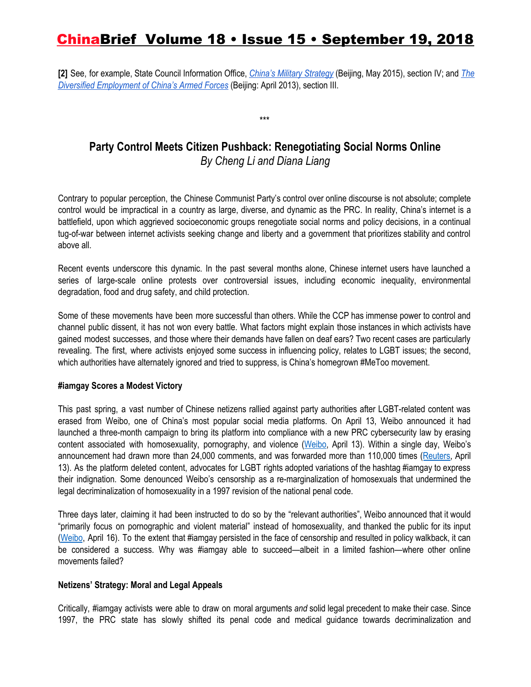**[2]** See, for example, State Council Information Office, *China's Military [Strategy](http://english.gov.cn/archive/white_paper/2015/05/27/content_281475115610833.htm)* (Beijing, May 2015), section IV; and *[The](http://english.gov.cn/archive/white_paper/2014/08/23/content_281474982986506.htm) Diversified [Employment](http://english.gov.cn/archive/white_paper/2014/08/23/content_281474982986506.htm) of China's Armed Forces* (Beijing: April 2013), section III.

**Party Control Meets Citizen Pushback: Renegotiating Social Norms Online** *By Cheng Li and Diana Liang*

\*\*\*

Contrary to popular perception, the Chinese Communist Party's control over online discourse is not absolute; complete control would be impractical in a country as large, diverse, and dynamic as the PRC. In reality, China's internet is a battlefield, upon which aggrieved socioeconomic groups renegotiate social norms and policy decisions, in a continual tug-of-war between internet activists seeking change and liberty and a government that prioritizes stability and control above all.

Recent events underscore this dynamic. In the past several months alone, Chinese internet users have launched a series of large-scale online protests over controversial issues, including economic inequality, environmental degradation, food and drug safety, and child protection.

Some of these movements have been more successful than others. While the CCP has immense power to control and channel public dissent, it has not won every battle. What factors might explain those instances in which activists have gained modest successes, and those where their demands have fallen on deaf ears? Two recent cases are particularly revealing. The first, where activists enjoyed some success in influencing policy, relates to LGBT issues; the second, which authorities have alternately ignored and tried to suppress, is China's homegrown #MeToo movement.

#### **#iamgay Scores a Modest Victory**

This past spring, a vast number of Chinese netizens rallied against party authorities after LGBT-related content was erased from Weibo, one of China's most popular social media platforms. On April 13, Weibo announced it had launched a three-month campaign to bring its platform into compliance with a new PRC cybersecurity law by erasing content associated with homosexuality, pornography, and violence [\(Weibo](https://m.weibo.cn/status/4228418272625993), April 13). Within a single day, Weibo's announcement had drawn more than 24,000 comments, and was forwarded more than 110,000 times ([Reuters](https://www.reuters.com/article/us-china-weibo/weibo-to-ban-gay-violent-content-from-platform-idUSKBN1HL06G), April 13). As the platform deleted content, advocates for LGBT rights adopted variations of the hashtag #iamgay to express their indignation. Some denounced Weibo's censorship as a re-marginalization of homosexuals that undermined the legal decriminalization of homosexuality in a 1997 revision of the national penal code.

Three days later, claiming it had been instructed to do so by the "relevant authorities", Weibo announced that it would "primarily focus on pornographic and violent material" instead of homosexuality, and thanked the public for its input ([Weibo](https://m.weibo.cn/status/4229407369085782?luicode=20000061&lfid=4229407369085782), April 16). To the extent that #iamgay persisted in the face of censorship and resulted in policy walkback, it can be considered a success. Why was #iamgay able to succeed—albeit in a limited fashion—where other online movements failed?

#### **Netizens' Strategy: Moral and Legal Appeals**

Critically, #iamgay activists were able to draw on moral arguments *and* solid legal precedent to make their case. Since 1997, the PRC state has slowly shifted its penal code and medical guidance towards decriminalization and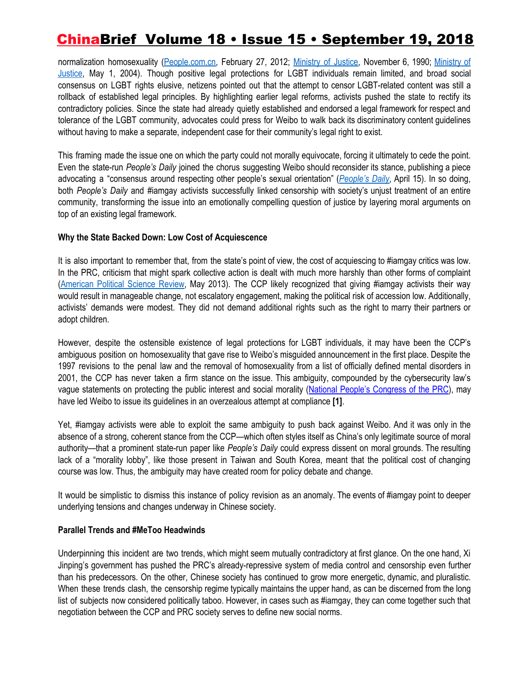normalization homosexuality [\(People.com.cn,](http://media.people.com.cn/GB/22114/150608/150618/17226450.html) February 27, 2012; [Ministry](http://www.law-lib.com/law/law_view.asp?id=7086) of Justice, November 6, 1990; [Ministry](http://www.gov.cn/gongbao/content/2005/content_63289.htm) of [Justice](http://www.gov.cn/gongbao/content/2005/content_63289.htm), May 1, 2004). Though positive legal protections for LGBT individuals remain limited, and broad social consensus on LGBT rights elusive, netizens pointed out that the attempt to censor LGBT-related content was still a rollback of established legal principles. By highlighting earlier legal reforms, activists pushed the state to rectify its contradictory policies. Since the state had already quietly established and endorsed a legal framework for respect and tolerance of the LGBT community, advocates could press for Weibo to walk back its discriminatory content guidelines without having to make a separate, independent case for their community's legal right to exist.

This framing made the issue one on which the party could not morally equivocate, forcing it ultimately to cede the point. Even the state-run *People's Daily* joined the chorus suggesting Weibo should reconsider its stance, publishing a piece advocating a "consensus around respecting other people's sexual orientation" (*[People's](https://www.weibo.com/ttarticle/p/show?id=2309404229113077434315#_0) Daily*, April 15). In so doing, both *People's Daily* and #iamgay activists successfully linked censorship with society's unjust treatment of an entire community, transforming the issue into an emotionally compelling question of justice by layering moral arguments on top of an existing legal framework.

#### **Why the State Backed Down: Low Cost of Acquiescence**

It is also important to remember that, from the state's point of view, the cost of acquiescing to #iamgay critics was low. In the PRC, criticism that might spark collective action is dealt with much more harshly than other forms of complaint ([American](https://gking.harvard.edu/files/gking/files/censored.pdf) Political Science Review, May 2013). The CCP likely recognized that giving #iamgay activists their way would result in manageable change, not escalatory engagement, making the political risk of accession low. Additionally, activists' demands were modest. They did not demand additional rights such as the right to marry their partners or adopt children.

However, despite the ostensible existence of legal protections for LGBT individuals, it may have been the CCP's ambiguous position on homosexuality that gave rise to Weibo's misguided announcement in the first place. Despite the 1997 revisions to the penal law and the removal of homosexuality from a list of officially defined mental disorders in 2001, the CCP has never taken a firm stance on the issue. This ambiguity, compounded by the cybersecurity law's vague statements on protecting the public interest and social morality (National People's [Congress](http://www.npc.gov.cn/npc/xinwen/2016-11/07/content_2001605.htm) of the PRC), may have led Weibo to issue its guidelines in an overzealous attempt at compliance **[1]**.

Yet, #iamgay activists were able to exploit the same ambiguity to push back against Weibo. And it was only in the absence of a strong, coherent stance from the CCP—which often styles itself as China's only legitimate source of moral authority—that a prominent state-run paper like *People's Daily* could express dissent on moral grounds. The resulting lack of a "morality lobby", like those present in Taiwan and South Korea, meant that the political cost of changing course was low. Thus, the ambiguity may have created room for policy debate and change.

It would be simplistic to dismiss this instance of policy revision as an anomaly. The events of #iamgay point to deeper underlying tensions and changes underway in Chinese society.

#### **Parallel Trends and #MeToo Headwinds**

Underpinning this incident are two trends, which might seem mutually contradictory at first glance. On the one hand, Xi Jinping's government has pushed the PRC's already-repressive system of media control and censorship even further than his predecessors. On the other, Chinese society has continued to grow more energetic, dynamic, and pluralistic. When these trends clash, the censorship regime typically maintains the upper hand, as can be discerned from the long list of subjects now considered politically taboo. However, in cases such as #iamgay, they can come together such that negotiation between the CCP and PRC society serves to define new social norms.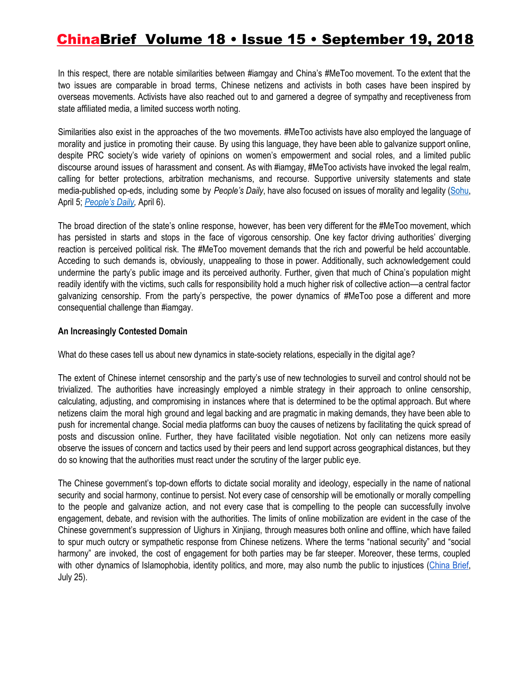In this respect, there are notable similarities between #iamgay and China's #MeToo movement. To the extent that the two issues are comparable in broad terms, Chinese netizens and activists in both cases have been inspired by overseas movements. Activists have also reached out to and garnered a degree of sympathy and receptiveness from state affiliated media, a limited success worth noting.

Similarities also exist in the approaches of the two movements. #MeToo activists have also employed the language of morality and justice in promoting their cause. By using this language, they have been able to galvanize support online, despite PRC society's wide variety of opinions on women's empowerment and social roles, and a limited public discourse around issues of harassment and consent. As with #iamgay, #MeToo activists have invoked the legal realm, calling for better protections, arbitration mechanisms, and recourse. Supportive university statements and state media-published op-eds, including some by *People's Daily*, have also focused on issues of morality and legality ([Sohu,](http://news.sina.com.cn/s/wh/2018-04-06/doc-ifyuwqez5503987.shtml) April 5; *[People's](http://bj.people.com.cn/n2/2018/0406/c14545-31428324.html) Daily,* April 6).

The broad direction of the state's online response, however, has been very different for the #MeToo movement, which has persisted in starts and stops in the face of vigorous censorship. One key factor driving authorities' diverging reaction is perceived political risk. The #MeToo movement demands that the rich and powerful be held accountable. Acceding to such demands is, obviously, unappealing to those in power. Additionally, such acknowledgement could undermine the party's public image and its perceived authority. Further, given that much of China's population might readily identify with the victims, such calls for responsibility hold a much higher risk of collective action––a central factor galvanizing censorship. From the party's perspective, the power dynamics of #MeToo pose a different and more consequential challenge than #iamgay.

#### **An Increasingly Contested Domain**

What do these cases tell us about new dynamics in state-society relations, especially in the digital age?

The extent of Chinese internet censorship and the party's use of new technologies to surveil and control should not be trivialized. The authorities have increasingly employed a nimble strategy in their approach to online censorship, calculating, adjusting, and compromising in instances where that is determined to be the optimal approach. But where netizens claim the moral high ground and legal backing and are pragmatic in making demands, they have been able to push for incremental change. Social media platforms can buoy the causes of netizens by facilitating the quick spread of posts and discussion online. Further, they have facilitated visible negotiation. Not only can netizens more easily observe the issues of concern and tactics used by their peers and lend support across geographical distances, but they do so knowing that the authorities must react under the scrutiny of the larger public eye.

The Chinese government's top-down efforts to dictate social morality and ideology, especially in the name of national security and social harmony, continue to persist. Not every case of censorship will be emotionally or morally compelling to the people and galvanize action, and not every case that is compelling to the people can successfully involve engagement, debate, and revision with the authorities. The limits of online mobilization are evident in the case of the Chinese government's suppression of Uighurs in Xinjiang, through measures both online and offline, which have failed to spur much outcry or sympathetic response from Chinese netizens. Where the terms "national security" and "social harmony" are invoked, the cost of engagement for both parties may be far steeper. Moreover, these terms, coupled with other dynamics of Islamophobia, identity politics, and more, may also numb the public to injustices [\(China](https://jamestown.org/program/censorship-geopolitical-time-bombs-and-chinas-islamophobia-problem/) Brief, July 25).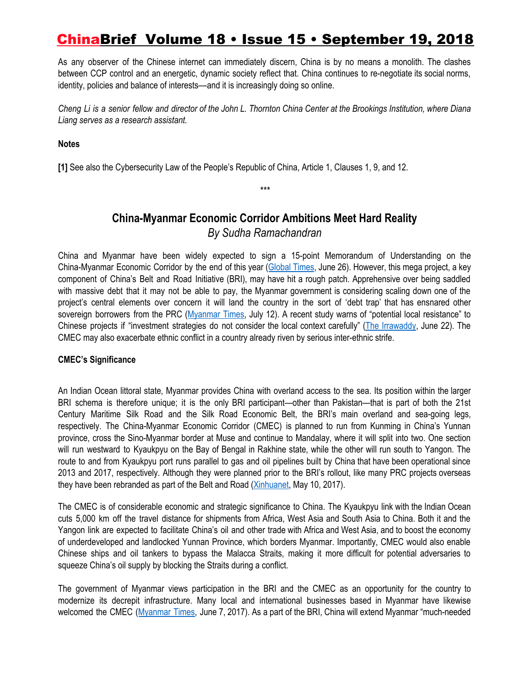As any observer of the Chinese internet can immediately discern, China is by no means a monolith. The clashes between CCP control and an energetic, dynamic society reflect that. China continues to re-negotiate its social norms, identity, policies and balance of interests––and it is increasingly doing so online.

Cheng Li is a senior fellow and director of the John L. Thornton China Center at the Brookings Institution, where Diana *Liang serves as a research assistant.*

#### **Notes**

**[1]** See also the Cybersecurity Law of the People's Republic of China, Article 1, Clauses 1, 9, and 12.

### **China-Myanmar Economic Corridor Ambitions Meet Hard Reality** *By Sudha Ramachandran*

*\*\*\**

China and Myanmar have been widely expected to sign a 15-point Memorandum of Understanding on the China-Myanmar Economic Corridor by the end of this year ([Global](http://www.globaltimes.cn/content/1108472.shtml) Times, June 26). However, this mega project, a key component of China's Belt and Road Initiative (BRI), may have hit a rough patch. Apprehensive over being saddled with massive debt that it may not be able to pay, the Myanmar government is considering scaling down one of the project's central elements over concern it will land the country in the sort of 'debt trap' that has ensnared other sovereign borrowers from the PRC ([Myanmar](https://www.mmtimes.com/news/myanmar-trim-kyaukphyu-cost-drops-annans-strategic-review-suggestion.html) Times, July 12). A recent study warns of "potential local resistance" to Chinese projects if "investment strategies do not consider the local context carefully" (The [Irrawaddy,](https://www.irrawaddy.com/news/burma/study-warns-of-public-backlash-to-chinas-bri-projects.html) June 22). The CMEC may also exacerbate ethnic conflict in a country already riven by serious inter-ethnic strife.

#### **CMEC's Significance**

An Indian Ocean littoral state, Myanmar provides China with overland access to the sea. Its position within the larger BRI schema is therefore unique; it is the only BRI participant—other than Pakistan—that is part of both the 21st Century Maritime Silk Road and the Silk Road Economic Belt, the BRI's main overland and sea-going legs, respectively. The China-Myanmar Economic Corridor (CMEC) is planned to run from Kunming in China's Yunnan province, cross the Sino-Myanmar border at Muse and continue to Mandalay, where it will split into two. One section will run westward to Kyaukpyu on the Bay of Bengal in Rakhine state, while the other will run south to Yangon. The route to and from Kyaukpyu port runs parallel to gas and oil pipelines built by China that have been operational since 2013 and 2017, respectively. Although they were planned prior to the BRI's rollout, like many PRC projects overseas they have been rebranded as part of the Belt and Road [\(Xinhuanet](http://www.xinhuanet.com/english/2017-05/10/c_136272395.htm), May 10, 2017).

The CMEC is of considerable economic and strategic significance to China. The Kyaukpyu link with the Indian Ocean cuts 5,000 km off the travel distance for shipments from Africa, West Asia and South Asia to China. Both it and the Yangon link are expected to facilitate China's oil and other trade with Africa and West Asia, and to boost the economy of underdeveloped and landlocked Yunnan Province, which borders Myanmar. Importantly, CMEC would also enable Chinese ships and oil tankers to bypass the Malacca Straits, making it more difficult for potential adversaries to squeeze China's oil supply by blocking the Straits during a conflict.

The government of Myanmar views participation in the BRI and the CMEC as an opportunity for the country to modernize its decrepit infrastructure. Many local and international businesses based in Myanmar have likewise welcomed the CMEC [\(Myanmar](https://www.mmtimes.com/business/26292-what-do-local-and-international-businesses-make-of-the-belt-and-road.html) Times, June 7, 2017). As a part of the BRI, China will extend Myanmar "much-needed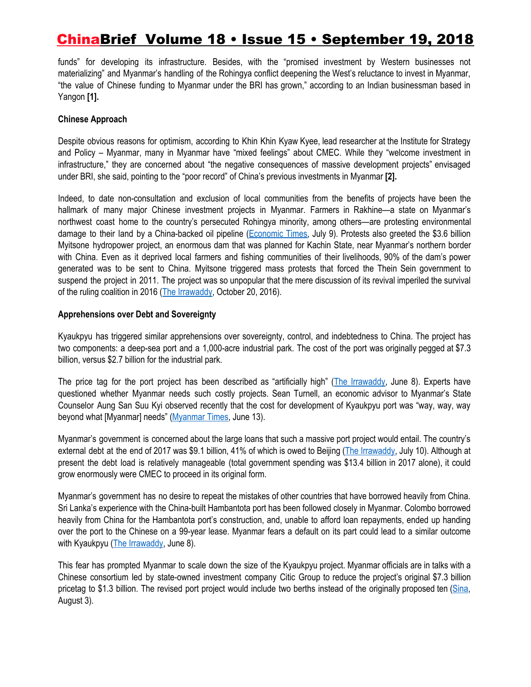funds" for developing its infrastructure. Besides, with the "promised investment by Western businesses not materializing" and Myanmar's handling of the Rohingya conflict deepening the West's reluctance to invest in Myanmar, "the value of Chinese funding to Myanmar under the BRI has grown," according to an Indian businessman based in Yangon **[1].**

#### **Chinese Approach**

Despite obvious reasons for optimism, according to Khin Khin Kyaw Kyee, lead researcher at the Institute for Strategy and Policy – Myanmar, many in Myanmar have "mixed feelings" about CMEC. While they "welcome investment in infrastructure," they are concerned about "the negative consequences of massive development projects" envisaged under BRI, she said, pointing to the "poor record" of China's previous investments in Myanmar **[2].**

Indeed, to date non-consultation and exclusion of local communities from the benefits of projects have been the hallmark of many major Chinese investment projects in Myanmar. Farmers in Rakhine—a state on Myanmar's northwest coast home to the country's persecuted Rohingya minority, among others—are protesting environmental damage to their land by a China-backed oil pipeline [\(Economic](https://economictimes.indiatimes.com/news/politics-and-nation/farmers-in-myanmar-protest-against-china/articleshow/64911540.cms) Times, July 9). Protests also greeted the \$3.6 billion Myitsone hydropower project, an enormous dam that was planned for Kachin State, near Myanmar's northern border with China. Even as it deprived local farmers and fishing communities of their livelihoods, 90% of the dam's power generated was to be sent to China. Myitsone triggered mass protests that forced the Thein Sein government to suspend the project in 2011. The project was so unpopular that the mere discussion of its revival imperiled the survival of the ruling coalition in 2016 (The [Irrawaddy,](https://www.irrawaddy.com/news/termination-of-myitsone-dam-the-only-option-say-local-kachin.html) October 20, 2016).

#### **Apprehensions over Debt and Sovereignty**

Kyaukpyu has triggered similar apprehensions over sovereignty, control, and indebtedness to China. The project has two components: a deep-sea port and a 1,000-acre industrial park. The cost of the port was originally pegged at \$7.3 billion, versus \$2.7 billion for the industrial park.

The price tag for the port project has been described as "artificially high" (The [Irrawaddy](https://www.irrawaddy.com/opinion/editorial/kyaukphyu-danger-slipping-hands.html), June 8). Experts have questioned whether Myanmar needs such costly projects. Sean Turnell, an economic advisor to Myanmar's State Counselor Aung San Suu Kyi observed recently that the cost for development of Kyaukpyu port was "way, way, way beyond what [Myanmar] needs" ([Myanmar](https://www.mmtimes.com/news/myanmar-mindful-sri-lankas-debt-crisis-when-mulling-kyaukphyu-sez.html) Times, June 13).

Myanmar's government is concerned about the large loans that such a massive port project would entail. The country's external debt at the end of 2017 was \$9.1 billion, 41% of which is owed to Beijing (The [Irrawaddy,](https://www.irrawaddy.com/news/burma/myanmars-foreign-debt-big-picture.html) July 10). Although at present the debt load is relatively manageable (total government spending was \$13.4 billion in 2017 alone), it could grow enormously were CMEC to proceed in its original form.

Myanmar's government has no desire to repeat the mistakes of other countries that have borrowed heavily from China. Sri Lanka's experience with the China-built Hambantota port has been followed closely in Myanmar. Colombo borrowed heavily from China for the Hambantota port's construction, and, unable to afford loan repayments, ended up handing over the port to the Chinese on a 99-year lease. Myanmar fears a default on its part could lead to a similar outcome with Kyaukpyu (The [Irrawaddy](https://www.irrawaddy.com/opinion/editorial/kyaukphyu-danger-slipping-hands.html), June 8).

This fear has prompted Myanmar to scale down the size of the Kyaukpyu project. Myanmar officials are in talks with a Chinese consortium led by state-owned investment company Citic Group to reduce the project's original \$7.3 billion pricetag to \$1.3 billion. The revised port project would include two berths instead of the originally proposed ten [\(Sina](http://mil.news.sina.com.cn/dgby/2018-08-03/doc-ihhehtqh1807509.shtml), August 3).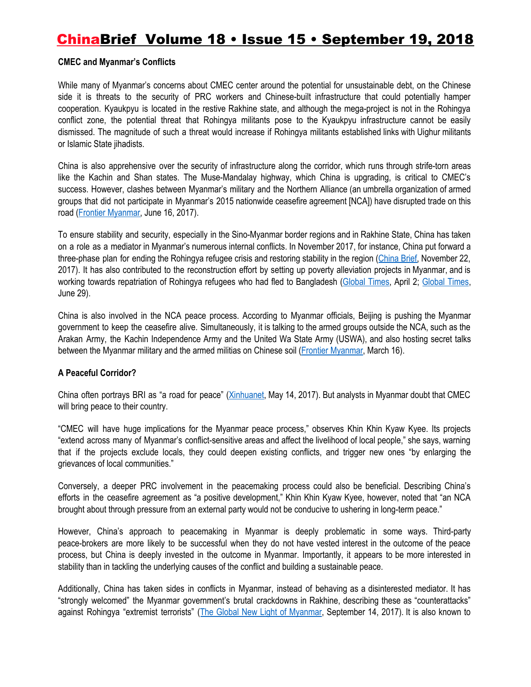#### **CMEC and Myanmar's Conflicts**

While many of Myanmar's concerns about CMEC center around the potential for unsustainable debt, on the Chinese side it is threats to the security of PRC workers and Chinese-built infrastructure that could potentially hamper cooperation. Kyaukpyu is located in the restive Rakhine state, and although the mega-project is not in the Rohingya conflict zone, the potential threat that Rohingya militants pose to the Kyaukpyu infrastructure cannot be easily dismissed. The magnitude of such a threat would increase if Rohingya militants established links with Uighur militants or Islamic State jihadists.

China is also apprehensive over the security of infrastructure along the corridor, which runs through strife-torn areas like the Kachin and Shan states. The Muse-Mandalay highway, which China is upgrading, is critical to CMEC's success. However, clashes between Myanmar's military and the Northern Alliance (an umbrella organization of armed groups that did not participate in Myanmar's 2015 nationwide ceasefire agreement [NCA]) have disrupted trade on this road (Frontier [Myanmar,](https://frontiermyanmar.net/en/repositioning-myanmar-through-the-belt-and-road-initiative) June 16, 2017).

To ensure stability and security, especially in the Sino-Myanmar border regions and in Rakhine State, China has taken on a role as a mediator in Myanmar's numerous internal conflicts. In November 2017, for instance, China put forward a three-phase plan for ending the Rohingya refugee crisis and restoring stability in the region [\(China](https://jamestown.org/program/rohingya-crisis-will-chinas-mediation-succeed/) Brief, November 22, 2017). It has also contributed to the reconstruction effort by setting up poverty alleviation projects in Myanmar, and is working towards repatriation of Rohingya refugees who had fled to Bangladesh [\(Global](http://www.globaltimes.cn/content/1096305.shtml) Times, April 2; [Global](http://www.globaltimes.cn/content/1108910.shtml) Times, June 29).

China is also involved in the NCA peace process. According to Myanmar officials, Beijing is pushing the Myanmar government to keep the ceasefire alive. Simultaneously, it is talking to the armed groups outside the NCA, such as the Arakan Army, the Kachin Independence Army and the United Wa State Army (USWA), and also hosting secret talks between the Myanmar military and the armed militias on Chinese soil (Frontier [Myanmar](https://frontiermyanmar.net/en/negotiation-not-coercion-offers-best-hope-of-peace-in-kachin), March 16).

#### **A Peaceful Corridor?**

China often portrays BRI as "a road for peace" [\(Xinhuanet](http://www.xinhuanet.com/english/2017-05/14/c_136282982.htm), May 14, 2017). But analysts in Myanmar doubt that CMEC will bring peace to their country.

"CMEC will have huge implications for the Myanmar peace process," observes Khin Khin Kyaw Kyee. Its projects "extend across many of Myanmar's conflict-sensitive areas and affect the livelihood of local people," she says, warning that if the projects exclude locals, they could deepen existing conflicts, and trigger new ones "by enlarging the grievances of local communities."

Conversely, a deeper PRC involvement in the peacemaking process could also be beneficial. Describing China's efforts in the ceasefire agreement as "a positive development," Khin Khin Kyaw Kyee, however, noted that "an NCA brought about through pressure from an external party would not be conducive to ushering in long-term peace."

However, China's approach to peacemaking in Myanmar is deeply problematic in some ways. Third-party peace-brokers are more likely to be successful when they do not have vested interest in the outcome of the peace process, but China is deeply invested in the outcome in Myanmar. Importantly, it appears to be more interested in stability than in tackling the underlying causes of the conflict and building a sustainable peace.

Additionally, China has taken sides in conflicts in Myanmar, instead of behaving as a disinterested mediator. It has "strongly welcomed" the Myanmar government's brutal crackdowns in Rakhine, describing these as "counterattacks" against Rohingya "extremist terrorists" (The Global New Light of [Myanmar](http://www.globalnewlightofmyanmar.com/rakhine-issue-internal-affair-chinese-ambassador/), September 14, 2017). It is also known to